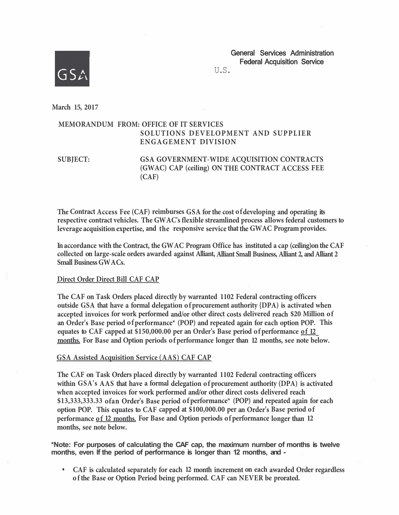

General Services Administration Federal Acquisition Service

U.S.

**March 15, 2017** 

## **MEMORANDUM FROM: OFFICE OF IT SERVICES SOLUTIONS DEVELOPMENT AND SUPPLIER ENGAGEMENT DIVISION**

**SUBJECT: GSA GOVERNMENT-WIDE ACQUISITION CONTRACTS (GWAC) CAP (ceiling) ON THE CONTRACT ACCESS FEE (CAF)** 

**The Contract Access Fee (CAF) reimburses GSA for the cost of developing and operating its respective contract vehicles. The GW AC's flexible streamlined process allows federal customers to leverage acquisition expertise, and the responsive service that the GWAC Program provides.** 

**In accordance with the Contract, the GW AC Program Office has instituted a cap (ceiling)on the CAF collected on large-scale orders awarded against Alliant, Alliant Small Business, Alliant 2, and Alliant 2 Small Business GW A Cs.** 

## **Direct Order Direct Bill CAF CAP**

**The CAF on Task Orders placed directly by warranted 1102 Federal contracting officers outside GSA that have a formal delegation of procurement authority {DPA) is activated when accepted invoices for work performed and/or other direct costs delivered reach \$20 Million of an Order's Base period of performance\* (POP) and repeated again for each option POP. This equates to CAF capped at \$150,000.00 per an Order's Base period of performance of 12 months. For Base and Option periods of performance longer than 12 months, see note below.** 

## **GSA Assisted Acquisition Service (AAS) CAF CAP**

**The CAF on Task Orders placed directly by warranted 1102 Federal contracting officers within GSA's AAS that have a formal delegation of procurement authority (DPA) is activated when accepted invoices for work performed and/or other direct costs delivered reach \$13,333,333.33 ofan Order's Base period of performance\* (POP) and repeated again for each option POP. This equates to CAF capped at \$100,000.00 per an Order's Base period of performance of 12 months. For Base and Option periods of performance longer than 12 months, see note below.** 

**\*Note: For purposes of calculating the CAF cap, the maximum number of months is twelve months, even If the period of performance is longer than 12 months, and -**

**• CAF is calculated separately for each 12 month increment on each awarded Order regardless of the Base or Option Period being performed. CAF can NEVER be prorated.**